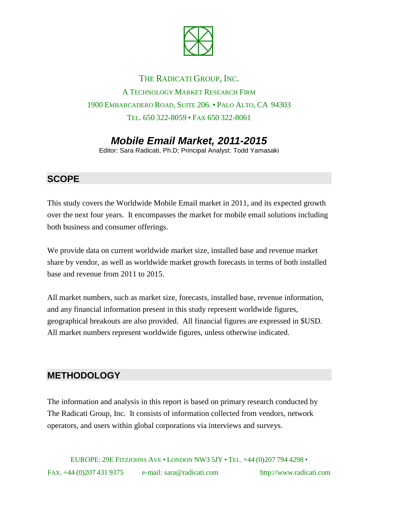

# THE RADICATI GROUP, INC. A TECHNOLOGY MARKET RESEARCH FIRM 1900 EMBARCADERO ROAD, SUITE 206. • PALO ALTO, CA 94303 TEL. 650 322-8059 • FAX 650 322-8061

# *Mobile Email Market, 2011-2015*

Editor: Sara Radicati, Ph.D; Principal Analyst: Todd Yamasaki

#### **SCOPE**

This study covers the Worldwide Mobile Email market in 2011, and its expected growth over the next four years. It encompasses the market for mobile email solutions including both business and consumer offerings.

We provide data on current worldwide market size, installed base and revenue market share by vendor, as well as worldwide market growth forecasts in terms of both installed base and revenue from 2011 to 2015.

All market numbers, such as market size, forecasts, installed base, revenue information, and any financial information present in this study represent worldwide figures, geographical breakouts are also provided. All financial figures are expressed in \$USD. All market numbers represent worldwide figures, unless otherwise indicated.

### **METHODOLOGY**

The information and analysis in this report is based on primary research conducted by The Radicati Group, Inc. It consists of information collected from vendors, network operators, and users within global corporations via interviews and surveys.

EUROPE: 29E FITZJOHNS AVE • LONDON NW3 5JY • TEL. +44 (0)207 794 4298 • FAX. +44 (0)207 431 9375 e-mail: sara@radicati.com http://www.radicati.com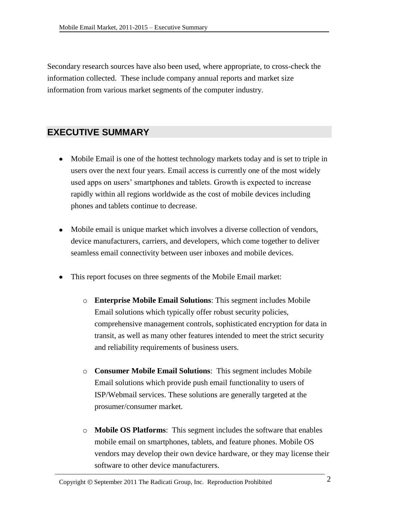Secondary research sources have also been used, where appropriate, to cross-check the information collected. These include company annual reports and market size information from various market segments of the computer industry.

## **EXECUTIVE SUMMARY**

- Mobile Email is one of the hottest technology markets today and is set to triple in users over the next four years. Email access is currently one of the most widely used apps on users' smartphones and tablets. Growth is expected to increase rapidly within all regions worldwide as the cost of mobile devices including phones and tablets continue to decrease.
- Mobile email is unique market which involves a diverse collection of vendors, device manufacturers, carriers, and developers, which come together to deliver seamless email connectivity between user inboxes and mobile devices.
- This report focuses on three segments of the Mobile Email market:
	- o **Enterprise Mobile Email Solutions**: This segment includes Mobile Email solutions which typically offer robust security policies, comprehensive management controls, sophisticated encryption for data in transit, as well as many other features intended to meet the strict security and reliability requirements of business users.
	- o **Consumer Mobile Email Solutions**: This segment includes Mobile Email solutions which provide push email functionality to users of ISP/Webmail services. These solutions are generally targeted at the prosumer/consumer market.
	- o **Mobile OS Platforms**: This segment includes the software that enables mobile email on smartphones, tablets, and feature phones. Mobile OS vendors may develop their own device hardware, or they may license their software to other device manufacturers.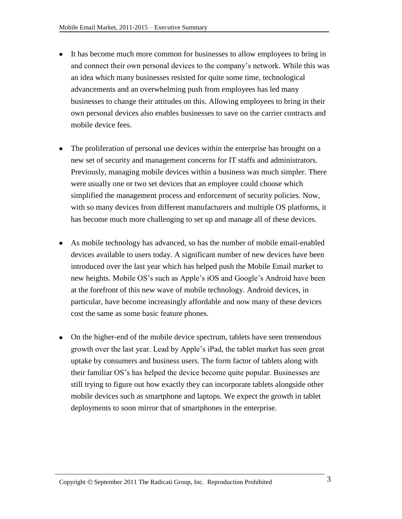- It has become much more common for businesses to allow employees to bring in and connect their own personal devices to the company's network. While this was an idea which many businesses resisted for quite some time, technological advancements and an overwhelming push from employees has led many businesses to change their attitudes on this. Allowing employees to bring in their own personal devices also enables businesses to save on the carrier contracts and mobile device fees.
- The proliferation of personal use devices within the enterprise has brought on a new set of security and management concerns for IT staffs and administrators. Previously, managing mobile devices within a business was much simpler. There were usually one or two set devices that an employee could choose which simplified the management process and enforcement of security policies. Now, with so many devices from different manufacturers and multiple OS platforms, it has become much more challenging to set up and manage all of these devices.
- As mobile technology has advanced, so has the number of mobile email-enabled devices available to users today. A significant number of new devices have been introduced over the last year which has helped push the Mobile Email market to new heights. Mobile OS's such as Apple's iOS and Google's Android have been at the forefront of this new wave of mobile technology. Android devices, in particular, have become increasingly affordable and now many of these devices cost the same as some basic feature phones.
- On the higher-end of the mobile device spectrum, tablets have seen tremendous growth over the last year. Lead by Apple's iPad, the tablet market has seen great uptake by consumers and business users. The form factor of tablets along with their familiar OS's has helped the device become quite popular. Businesses are still trying to figure out how exactly they can incorporate tablets alongside other mobile devices such as smartphone and laptops. We expect the growth in tablet deployments to soon mirror that of smartphones in the enterprise.